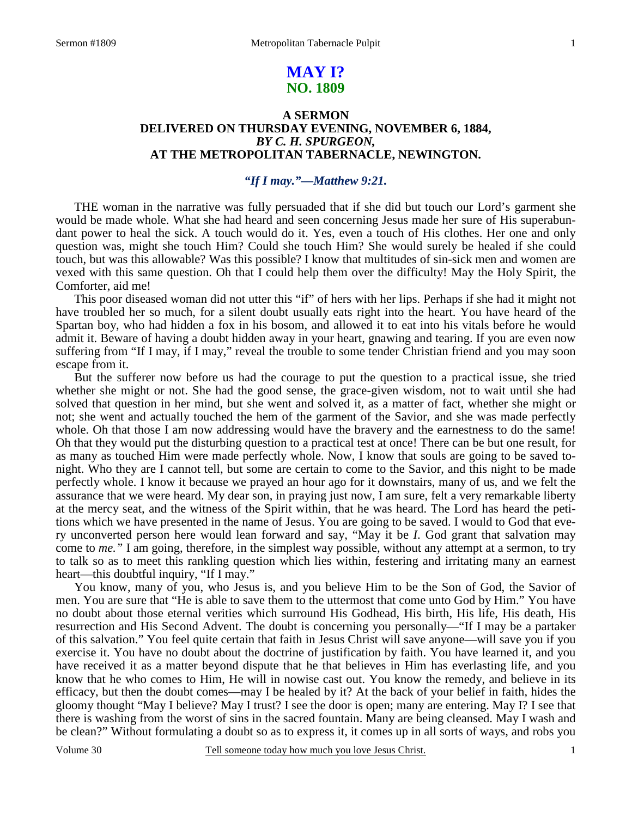# **MAY I? NO. 1809**

### **A SERMON DELIVERED ON THURSDAY EVENING, NOVEMBER 6, 1884,**  *BY C. H. SPURGEON,*  **AT THE METROPOLITAN TABERNACLE, NEWINGTON.**

### *"If I may."—Matthew 9:21.*

THE woman in the narrative was fully persuaded that if she did but touch our Lord's garment she would be made whole. What she had heard and seen concerning Jesus made her sure of His superabundant power to heal the sick. A touch would do it. Yes, even a touch of His clothes. Her one and only question was, might she touch Him? Could she touch Him? She would surely be healed if she could touch, but was this allowable? Was this possible? I know that multitudes of sin-sick men and women are vexed with this same question. Oh that I could help them over the difficulty! May the Holy Spirit, the Comforter, aid me!

 This poor diseased woman did not utter this "if" of hers with her lips. Perhaps if she had it might not have troubled her so much, for a silent doubt usually eats right into the heart. You have heard of the Spartan boy, who had hidden a fox in his bosom, and allowed it to eat into his vitals before he would admit it. Beware of having a doubt hidden away in your heart, gnawing and tearing. If you are even now suffering from "If I may, if I may," reveal the trouble to some tender Christian friend and you may soon escape from it.

 But the sufferer now before us had the courage to put the question to a practical issue, she tried whether she might or not. She had the good sense, the grace-given wisdom, not to wait until she had solved that question in her mind, but she went and solved it, as a matter of fact, whether she might or not; she went and actually touched the hem of the garment of the Savior, and she was made perfectly whole. Oh that those I am now addressing would have the bravery and the earnestness to do the same! Oh that they would put the disturbing question to a practical test at once! There can be but one result, for as many as touched Him were made perfectly whole. Now, I know that souls are going to be saved tonight. Who they are I cannot tell, but some are certain to come to the Savior, and this night to be made perfectly whole. I know it because we prayed an hour ago for it downstairs, many of us, and we felt the assurance that we were heard. My dear son, in praying just now, I am sure, felt a very remarkable liberty at the mercy seat, and the witness of the Spirit within, that he was heard. The Lord has heard the petitions which we have presented in the name of Jesus. You are going to be saved. I would to God that every unconverted person here would lean forward and say, "May it be *I*. God grant that salvation may come to *me."* I am going, therefore, in the simplest way possible, without any attempt at a sermon, to try to talk so as to meet this rankling question which lies within, festering and irritating many an earnest heart—this doubtful inquiry, "If I may."

 You know, many of you, who Jesus is, and you believe Him to be the Son of God, the Savior of men. You are sure that "He is able to save them to the uttermost that come unto God by Him." You have no doubt about those eternal verities which surround His Godhead, His birth, His life, His death, His resurrection and His Second Advent. The doubt is concerning you personally—"If I may be a partaker of this salvation." You feel quite certain that faith in Jesus Christ will save anyone—will save you if you exercise it. You have no doubt about the doctrine of justification by faith. You have learned it, and you have received it as a matter beyond dispute that he that believes in Him has everlasting life, and you know that he who comes to Him, He will in nowise cast out. You know the remedy, and believe in its efficacy, but then the doubt comes—may I be healed by it? At the back of your belief in faith, hides the gloomy thought "May I believe? May I trust? I see the door is open; many are entering. May I? I see that there is washing from the worst of sins in the sacred fountain. Many are being cleansed. May I wash and be clean?" Without formulating a doubt so as to express it, it comes up in all sorts of ways, and robs you

Volume 30 Tell someone today how much you love Jesus Christ.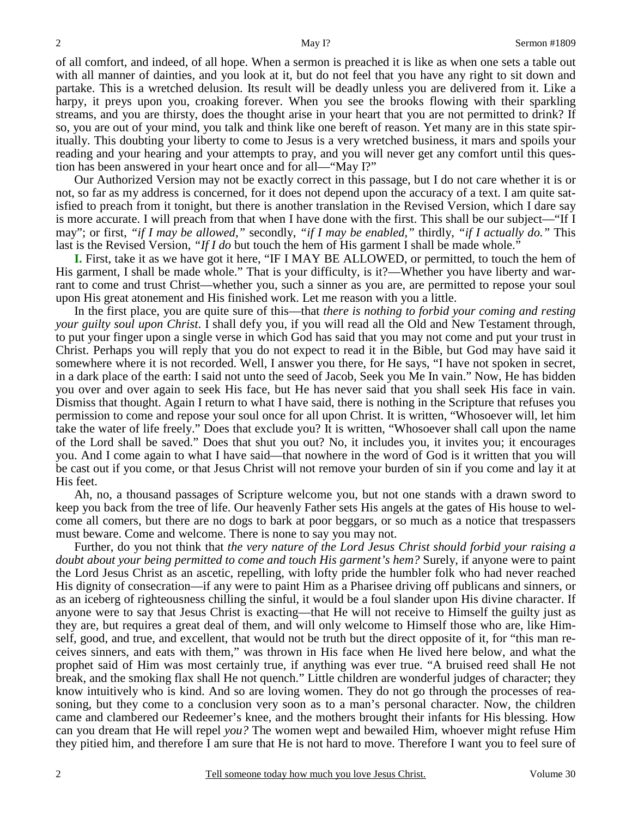of all comfort, and indeed, of all hope. When a sermon is preached it is like as when one sets a table out with all manner of dainties, and you look at it, but do not feel that you have any right to sit down and partake. This is a wretched delusion. Its result will be deadly unless you are delivered from it. Like a harpy, it preys upon you, croaking forever. When you see the brooks flowing with their sparkling streams, and you are thirsty, does the thought arise in your heart that you are not permitted to drink? If so, you are out of your mind, you talk and think like one bereft of reason. Yet many are in this state spiritually. This doubting your liberty to come to Jesus is a very wretched business, it mars and spoils your reading and your hearing and your attempts to pray, and you will never get any comfort until this question has been answered in your heart once and for all—"May I?"

 Our Authorized Version may not be exactly correct in this passage, but I do not care whether it is or not, so far as my address is concerned, for it does not depend upon the accuracy of a text. I am quite satisfied to preach from it tonight, but there is another translation in the Revised Version, which I dare say is more accurate. I will preach from that when I have done with the first. This shall be our subject—"If I may"; or first, *"if I may be allowed,"* secondly, *"if I may be enabled,"* thirdly, *"if I actually do."* This last is the Revised Version, *"If I do* but touch the hem of His garment I shall be made whole."

**I.** First, take it as we have got it here, "IF I MAY BE ALLOWED, or permitted, to touch the hem of His garment, I shall be made whole." That is your difficulty, is it?—Whether you have liberty and warrant to come and trust Christ—whether you, such a sinner as you are, are permitted to repose your soul upon His great atonement and His finished work. Let me reason with you a little.

 In the first place, you are quite sure of this—that *there is nothing to forbid your coming and resting your guilty soul upon Christ*. I shall defy you, if you will read all the Old and New Testament through, to put your finger upon a single verse in which God has said that you may not come and put your trust in Christ. Perhaps you will reply that you do not expect to read it in the Bible, but God may have said it somewhere where it is not recorded. Well, I answer you there, for He says, "I have not spoken in secret, in a dark place of the earth: I said not unto the seed of Jacob, Seek you Me In vain." Now, He has bidden you over and over again to seek His face, but He has never said that you shall seek His face in vain. Dismiss that thought. Again I return to what I have said, there is nothing in the Scripture that refuses you permission to come and repose your soul once for all upon Christ. It is written, "Whosoever will, let him take the water of life freely." Does that exclude you? It is written, "Whosoever shall call upon the name of the Lord shall be saved." Does that shut you out? No, it includes you, it invites you; it encourages you. And I come again to what I have said—that nowhere in the word of God is it written that you will be cast out if you come, or that Jesus Christ will not remove your burden of sin if you come and lay it at His feet.

 Ah, no, a thousand passages of Scripture welcome you, but not one stands with a drawn sword to keep you back from the tree of life. Our heavenly Father sets His angels at the gates of His house to welcome all comers, but there are no dogs to bark at poor beggars, or so much as a notice that trespassers must beware. Come and welcome. There is none to say you may not.

 Further, do you not think that *the very nature of the Lord Jesus Christ should forbid your raising a doubt about your being permitted to come and touch His garment's hem?* Surely, if anyone were to paint the Lord Jesus Christ as an ascetic, repelling, with lofty pride the humbler folk who had never reached His dignity of consecration—if any were to paint Him as a Pharisee driving off publicans and sinners, or as an iceberg of righteousness chilling the sinful, it would be a foul slander upon His divine character. If anyone were to say that Jesus Christ is exacting—that He will not receive to Himself the guilty just as they are, but requires a great deal of them, and will only welcome to Himself those who are, like Himself, good, and true, and excellent, that would not be truth but the direct opposite of it, for "this man receives sinners, and eats with them," was thrown in His face when He lived here below, and what the prophet said of Him was most certainly true, if anything was ever true. "A bruised reed shall He not break, and the smoking flax shall He not quench." Little children are wonderful judges of character; they know intuitively who is kind. And so are loving women. They do not go through the processes of reasoning, but they come to a conclusion very soon as to a man's personal character. Now, the children came and clambered our Redeemer's knee, and the mothers brought their infants for His blessing. How can you dream that He will repel *you?* The women wept and bewailed Him, whoever might refuse Him they pitied him, and therefore I am sure that He is not hard to move. Therefore I want you to feel sure of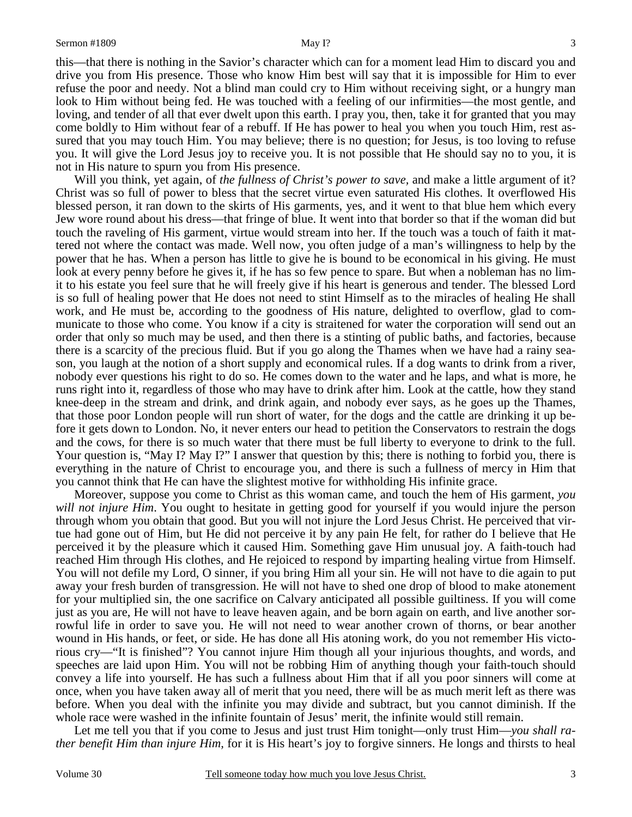this—that there is nothing in the Savior's character which can for a moment lead Him to discard you and drive you from His presence. Those who know Him best will say that it is impossible for Him to ever refuse the poor and needy. Not a blind man could cry to Him without receiving sight, or a hungry man look to Him without being fed. He was touched with a feeling of our infirmities—the most gentle, and loving, and tender of all that ever dwelt upon this earth. I pray you, then, take it for granted that you may come boldly to Him without fear of a rebuff. If He has power to heal you when you touch Him, rest assured that you may touch Him. You may believe; there is no question; for Jesus, is too loving to refuse you. It will give the Lord Jesus joy to receive you. It is not possible that He should say no to you, it is not in His nature to spurn you from His presence.

 Will you think, yet again, of *the fullness of Christ's power to save,* and make a little argument of it? Christ was so full of power to bless that the secret virtue even saturated His clothes. It overflowed His blessed person, it ran down to the skirts of His garments, yes, and it went to that blue hem which every Jew wore round about his dress—that fringe of blue. It went into that border so that if the woman did but touch the raveling of His garment, virtue would stream into her. If the touch was a touch of faith it mattered not where the contact was made. Well now, you often judge of a man's willingness to help by the power that he has. When a person has little to give he is bound to be economical in his giving. He must look at every penny before he gives it, if he has so few pence to spare. But when a nobleman has no limit to his estate you feel sure that he will freely give if his heart is generous and tender. The blessed Lord is so full of healing power that He does not need to stint Himself as to the miracles of healing He shall work, and He must be, according to the goodness of His nature, delighted to overflow, glad to communicate to those who come. You know if a city is straitened for water the corporation will send out an order that only so much may be used, and then there is a stinting of public baths, and factories, because there is a scarcity of the precious fluid. But if you go along the Thames when we have had a rainy season, you laugh at the notion of a short supply and economical rules. If a dog wants to drink from a river, nobody ever questions his right to do so. He comes down to the water and he laps, and what is more, he runs right into it, regardless of those who may have to drink after him. Look at the cattle, how they stand knee-deep in the stream and drink, and drink again, and nobody ever says, as he goes up the Thames, that those poor London people will run short of water, for the dogs and the cattle are drinking it up before it gets down to London. No, it never enters our head to petition the Conservators to restrain the dogs and the cows, for there is so much water that there must be full liberty to everyone to drink to the full. Your question is, "May I? May I?" I answer that question by this; there is nothing to forbid you, there is everything in the nature of Christ to encourage you, and there is such a fullness of mercy in Him that you cannot think that He can have the slightest motive for withholding His infinite grace.

 Moreover, suppose you come to Christ as this woman came, and touch the hem of His garment, *you will not injure Him*. You ought to hesitate in getting good for yourself if you would injure the person through whom you obtain that good. But you will not injure the Lord Jesus Christ. He perceived that virtue had gone out of Him, but He did not perceive it by any pain He felt, for rather do I believe that He perceived it by the pleasure which it caused Him. Something gave Him unusual joy. A faith-touch had reached Him through His clothes, and He rejoiced to respond by imparting healing virtue from Himself. You will not defile my Lord, O sinner, if you bring Him all your sin. He will not have to die again to put away your fresh burden of transgression. He will not have to shed one drop of blood to make atonement for your multiplied sin, the one sacrifice on Calvary anticipated all possible guiltiness. If you will come just as you are, He will not have to leave heaven again, and be born again on earth, and live another sorrowful life in order to save you. He will not need to wear another crown of thorns, or bear another wound in His hands, or feet, or side. He has done all His atoning work, do you not remember His victorious cry—"It is finished"? You cannot injure Him though all your injurious thoughts, and words, and speeches are laid upon Him. You will not be robbing Him of anything though your faith-touch should convey a life into yourself. He has such a fullness about Him that if all you poor sinners will come at once, when you have taken away all of merit that you need, there will be as much merit left as there was before. When you deal with the infinite you may divide and subtract, but you cannot diminish. If the whole race were washed in the infinite fountain of Jesus' merit, the infinite would still remain.

Let me tell you that if you come to Jesus and just trust Him tonight—only trust Him—*you shall rather benefit Him than injure Him,* for it is His heart's joy to forgive sinners. He longs and thirsts to heal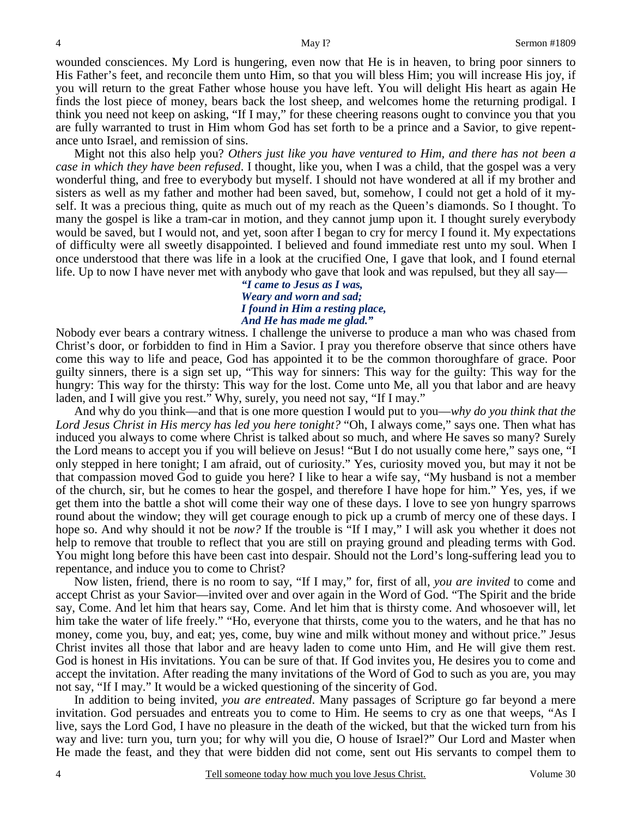wounded consciences. My Lord is hungering, even now that He is in heaven, to bring poor sinners to His Father's feet, and reconcile them unto Him, so that you will bless Him; you will increase His joy, if you will return to the great Father whose house you have left. You will delight His heart as again He finds the lost piece of money, bears back the lost sheep, and welcomes home the returning prodigal. I think you need not keep on asking, "If I may," for these cheering reasons ought to convince you that you are fully warranted to trust in Him whom God has set forth to be a prince and a Savior, to give repentance unto Israel, and remission of sins.

 Might not this also help you? *Others just like you have ventured to Him, and there has not been a case in which they have been refused*. I thought, like you, when I was a child, that the gospel was a very wonderful thing, and free to everybody but myself. I should not have wondered at all if my brother and sisters as well as my father and mother had been saved, but, somehow, I could not get a hold of it myself. It was a precious thing, quite as much out of my reach as the Queen's diamonds. So I thought. To many the gospel is like a tram-car in motion, and they cannot jump upon it. I thought surely everybody would be saved, but I would not, and yet, soon after I began to cry for mercy I found it. My expectations of difficulty were all sweetly disappointed. I believed and found immediate rest unto my soul. When I once understood that there was life in a look at the crucified One, I gave that look, and I found eternal life. Up to now I have never met with anybody who gave that look and was repulsed, but they all say—

> *"I came to Jesus as I was, Weary and worn and sad; I found in Him a resting place, And He has made me glad."*

Nobody ever bears a contrary witness. I challenge the universe to produce a man who was chased from Christ's door, or forbidden to find in Him a Savior. I pray you therefore observe that since others have come this way to life and peace, God has appointed it to be the common thoroughfare of grace. Poor guilty sinners, there is a sign set up, "This way for sinners: This way for the guilty: This way for the hungry: This way for the thirsty: This way for the lost. Come unto Me, all you that labor and are heavy laden, and I will give you rest." Why, surely, you need not say, "If I may."

 And why do you think—and that is one more question I would put to you—*why do you think that the Lord Jesus Christ in His mercy has led you here tonight?* "Oh, I always come," says one. Then what has induced you always to come where Christ is talked about so much, and where He saves so many? Surely the Lord means to accept you if you will believe on Jesus! "But I do not usually come here," says one, "I only stepped in here tonight; I am afraid, out of curiosity." Yes, curiosity moved you, but may it not be that compassion moved God to guide you here? I like to hear a wife say, "My husband is not a member of the church, sir, but he comes to hear the gospel, and therefore I have hope for him." Yes, yes, if we get them into the battle a shot will come their way one of these days. I love to see yon hungry sparrows round about the window; they will get courage enough to pick up a crumb of mercy one of these days. I hope so. And why should it not be *now?* If the trouble is "If I may," I will ask you whether it does not help to remove that trouble to reflect that you are still on praying ground and pleading terms with God. You might long before this have been cast into despair. Should not the Lord's long-suffering lead you to repentance, and induce you to come to Christ?

 Now listen, friend, there is no room to say, "If I may," for, first of all, *you are invited* to come and accept Christ as your Savior—invited over and over again in the Word of God. "The Spirit and the bride say, Come. And let him that hears say, Come. And let him that is thirsty come. And whosoever will, let him take the water of life freely." "Ho, everyone that thirsts, come you to the waters, and he that has no money, come you, buy, and eat; yes, come, buy wine and milk without money and without price." Jesus Christ invites all those that labor and are heavy laden to come unto Him, and He will give them rest. God is honest in His invitations. You can be sure of that. If God invites you, He desires you to come and accept the invitation. After reading the many invitations of the Word of God to such as you are, you may not say, "If I may." It would be a wicked questioning of the sincerity of God.

 In addition to being invited, *you are entreated*. Many passages of Scripture go far beyond a mere invitation. God persuades and entreats you to come to Him. He seems to cry as one that weeps, "As I live, says the Lord God, I have no pleasure in the death of the wicked, but that the wicked turn from his way and live: turn you, turn you; for why will you die, O house of Israel?" Our Lord and Master when He made the feast, and they that were bidden did not come, sent out His servants to compel them to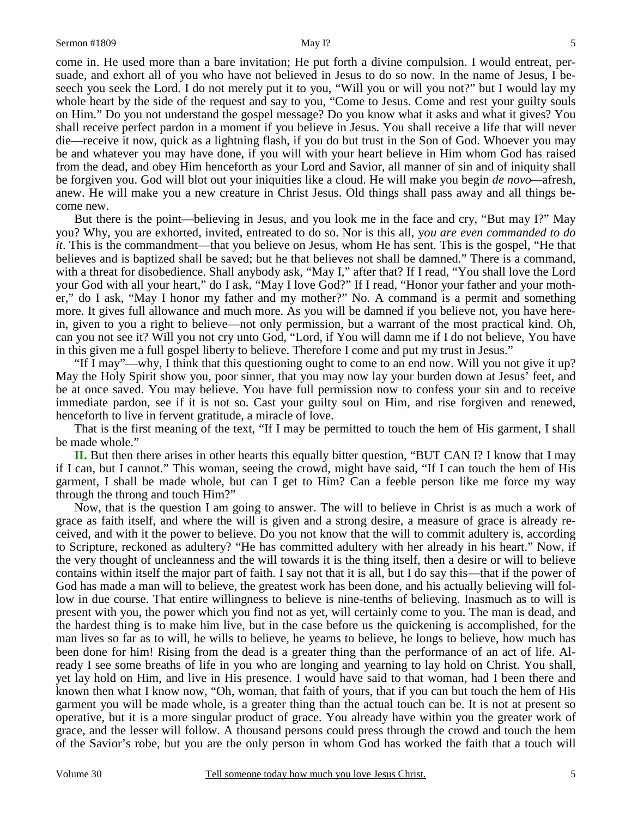come in. He used more than a bare invitation; He put forth a divine compulsion. I would entreat, persuade, and exhort all of you who have not believed in Jesus to do so now. In the name of Jesus, I beseech you seek the Lord. I do not merely put it to you, "Will you or will you not?" but I would lay my whole heart by the side of the request and say to you, "Come to Jesus. Come and rest your guilty souls on Him." Do you not understand the gospel message? Do you know what it asks and what it gives? You shall receive perfect pardon in a moment if you believe in Jesus. You shall receive a life that will never die—receive it now, quick as a lightning flash, if you do but trust in the Son of God. Whoever you may be and whatever you may have done, if you will with your heart believe in Him whom God has raised from the dead, and obey Him henceforth as your Lord and Savior, all manner of sin and of iniquity shall be forgiven you. God will blot out your iniquities like a cloud. He will make you begin *de novo—*afresh, anew. He will make you a new creature in Christ Jesus. Old things shall pass away and all things become new.

 But there is the point—believing in Jesus, and you look me in the face and cry, "But may I?" May you? Why, you are exhorted, invited, entreated to do so. Nor is this all, y*ou are even commanded to do it*. This is the commandment—that you believe on Jesus, whom He has sent. This is the gospel, "He that believes and is baptized shall be saved; but he that believes not shall be damned." There is a command, with a threat for disobedience. Shall anybody ask, "May I," after that? If I read, "You shall love the Lord your God with all your heart," do I ask, "May I love God?" If I read, "Honor your father and your mother," do I ask, "May I honor my father and my mother?" No. A command is a permit and something more. It gives full allowance and much more. As you will be damned if you believe not, you have herein, given to you a right to believe—not only permission, but a warrant of the most practical kind. Oh, can you not see it? Will you not cry unto God, "Lord, if You will damn me if I do not believe, You have in this given me a full gospel liberty to believe. Therefore I come and put my trust in Jesus."

 "If I may"—why, I think that this questioning ought to come to an end now. Will you not give it up? May the Holy Spirit show you, poor sinner, that you may now lay your burden down at Jesus' feet, and be at once saved. You may believe. You have full permission now to confess your sin and to receive immediate pardon, see if it is not so. Cast your guilty soul on Him, and rise forgiven and renewed, henceforth to live in fervent gratitude, a miracle of love.

 That is the first meaning of the text, "If I may be permitted to touch the hem of His garment, I shall be made whole."

**II.** But then there arises in other hearts this equally bitter question, "BUT CAN I? I know that I may if I can, but I cannot." This woman, seeing the crowd, might have said, "If I can touch the hem of His garment, I shall be made whole, but can I get to Him? Can a feeble person like me force my way through the throng and touch Him?"

 Now, that is the question I am going to answer. The will to believe in Christ is as much a work of grace as faith itself, and where the will is given and a strong desire, a measure of grace is already received, and with it the power to believe. Do you not know that the will to commit adultery is, according to Scripture, reckoned as adultery? "He has committed adultery with her already in his heart." Now, if the very thought of uncleanness and the will towards it is the thing itself, then a desire or will to believe contains within itself the major part of faith. I say not that it is all, but I do say this—that if the power of God has made a man will to believe, the greatest work has been done, and his actually believing will follow in due course. That entire willingness to believe is nine-tenths of believing. Inasmuch as to will is present with you, the power which you find not as yet, will certainly come to you. The man is dead, and the hardest thing is to make him live, but in the case before us the quickening is accomplished, for the man lives so far as to will, he wills to believe, he yearns to believe, he longs to believe, how much has been done for him! Rising from the dead is a greater thing than the performance of an act of life. Already I see some breaths of life in you who are longing and yearning to lay hold on Christ. You shall, yet lay hold on Him, and live in His presence. I would have said to that woman, had I been there and known then what I know now, "Oh, woman, that faith of yours, that if you can but touch the hem of His garment you will be made whole, is a greater thing than the actual touch can be. It is not at present so operative, but it is a more singular product of grace. You already have within you the greater work of grace, and the lesser will follow. A thousand persons could press through the crowd and touch the hem of the Savior's robe, but you are the only person in whom God has worked the faith that a touch will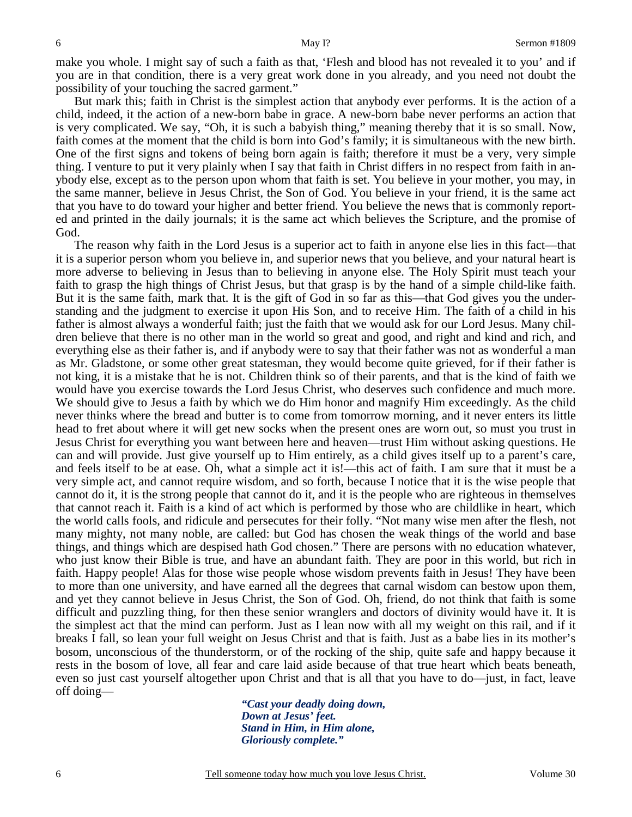make you whole. I might say of such a faith as that, 'Flesh and blood has not revealed it to you' and if you are in that condition, there is a very great work done in you already, and you need not doubt the possibility of your touching the sacred garment."

 But mark this; faith in Christ is the simplest action that anybody ever performs. It is the action of a child, indeed, it the action of a new-born babe in grace. A new-born babe never performs an action that is very complicated. We say, "Oh, it is such a babyish thing," meaning thereby that it is so small. Now, faith comes at the moment that the child is born into God's family; it is simultaneous with the new birth. One of the first signs and tokens of being born again is faith; therefore it must be a very, very simple thing. I venture to put it very plainly when I say that faith in Christ differs in no respect from faith in anybody else, except as to the person upon whom that faith is set. You believe in your mother, you may, in the same manner, believe in Jesus Christ, the Son of God. You believe in your friend, it is the same act that you have to do toward your higher and better friend. You believe the news that is commonly reported and printed in the daily journals; it is the same act which believes the Scripture, and the promise of God.

 The reason why faith in the Lord Jesus is a superior act to faith in anyone else lies in this fact—that it is a superior person whom you believe in, and superior news that you believe, and your natural heart is more adverse to believing in Jesus than to believing in anyone else. The Holy Spirit must teach your faith to grasp the high things of Christ Jesus, but that grasp is by the hand of a simple child-like faith. But it is the same faith, mark that. It is the gift of God in so far as this—that God gives you the understanding and the judgment to exercise it upon His Son, and to receive Him. The faith of a child in his father is almost always a wonderful faith; just the faith that we would ask for our Lord Jesus. Many children believe that there is no other man in the world so great and good, and right and kind and rich, and everything else as their father is, and if anybody were to say that their father was not as wonderful a man as Mr. Gladstone, or some other great statesman, they would become quite grieved, for if their father is not king, it is a mistake that he is not. Children think so of their parents, and that is the kind of faith we would have you exercise towards the Lord Jesus Christ, who deserves such confidence and much more. We should give to Jesus a faith by which we do Him honor and magnify Him exceedingly. As the child never thinks where the bread and butter is to come from tomorrow morning, and it never enters its little head to fret about where it will get new socks when the present ones are worn out, so must you trust in Jesus Christ for everything you want between here and heaven—trust Him without asking questions. He can and will provide. Just give yourself up to Him entirely, as a child gives itself up to a parent's care, and feels itself to be at ease. Oh, what a simple act it is!—this act of faith. I am sure that it must be a very simple act, and cannot require wisdom, and so forth, because I notice that it is the wise people that cannot do it, it is the strong people that cannot do it, and it is the people who are righteous in themselves that cannot reach it. Faith is a kind of act which is performed by those who are childlike in heart, which the world calls fools, and ridicule and persecutes for their folly. "Not many wise men after the flesh, not many mighty, not many noble, are called: but God has chosen the weak things of the world and base things, and things which are despised hath God chosen." There are persons with no education whatever, who just know their Bible is true, and have an abundant faith. They are poor in this world, but rich in faith. Happy people! Alas for those wise people whose wisdom prevents faith in Jesus! They have been to more than one university, and have earned all the degrees that carnal wisdom can bestow upon them, and yet they cannot believe in Jesus Christ, the Son of God. Oh, friend, do not think that faith is some difficult and puzzling thing, for then these senior wranglers and doctors of divinity would have it. It is the simplest act that the mind can perform. Just as I lean now with all my weight on this rail, and if it breaks I fall, so lean your full weight on Jesus Christ and that is faith. Just as a babe lies in its mother's bosom, unconscious of the thunderstorm, or of the rocking of the ship, quite safe and happy because it rests in the bosom of love, all fear and care laid aside because of that true heart which beats beneath, even so just cast yourself altogether upon Christ and that is all that you have to do—just, in fact, leave off doing—

> *"Cast your deadly doing down, Down at Jesus' feet. Stand in Him, in Him alone, Gloriously complete."*

6 Tell someone today how much you love Jesus Christ. Volume 30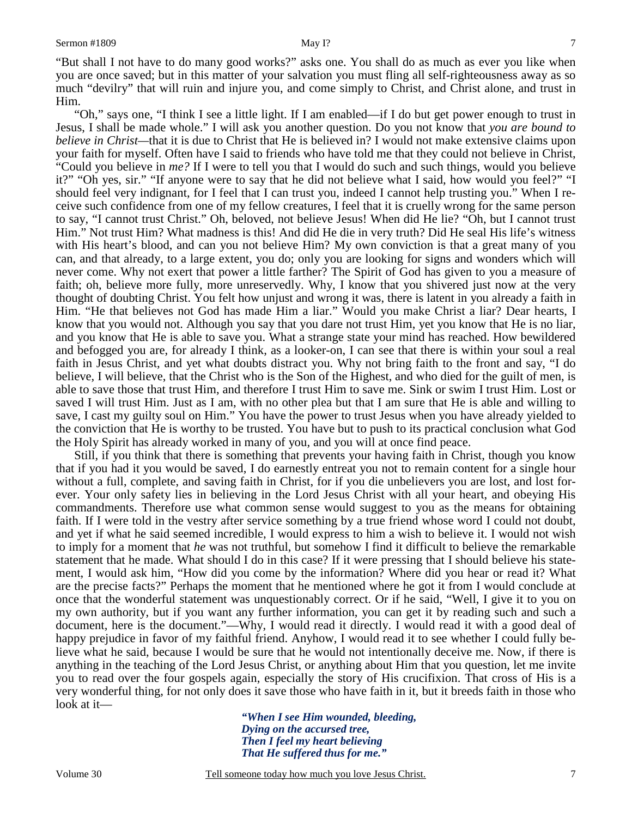"But shall I not have to do many good works?" asks one. You shall do as much as ever you like when you are once saved; but in this matter of your salvation you must fling all self-righteousness away as so much "devilry" that will ruin and injure you, and come simply to Christ, and Christ alone, and trust in Him.

 "Oh," says one, "I think I see a little light. If I am enabled—if I do but get power enough to trust in Jesus, I shall be made whole." I will ask you another question. Do you not know that *you are bound to believe in Christ*—that it is due to Christ that He is believed in? I would not make extensive claims upon your faith for myself. Often have I said to friends who have told me that they could not believe in Christ, "Could you believe in *me?* If I were to tell you that I would do such and such things, would you believe it?" "Oh yes, sir." "If anyone were to say that he did not believe what I said, how would you feel?" "I should feel very indignant, for I feel that I can trust you, indeed I cannot help trusting you." When I receive such confidence from one of my fellow creatures, I feel that it is cruelly wrong for the same person to say, "I cannot trust Christ." Oh, beloved, not believe Jesus! When did He lie? "Oh, but I cannot trust Him." Not trust Him? What madness is this! And did He die in very truth? Did He seal His life's witness with His heart's blood, and can you not believe Him? My own conviction is that a great many of you can, and that already, to a large extent, you do; only you are looking for signs and wonders which will never come. Why not exert that power a little farther? The Spirit of God has given to you a measure of faith; oh, believe more fully, more unreservedly. Why, I know that you shivered just now at the very thought of doubting Christ. You felt how unjust and wrong it was, there is latent in you already a faith in Him. "He that believes not God has made Him a liar." Would you make Christ a liar? Dear hearts, I know that you would not. Although you say that you dare not trust Him, yet you know that He is no liar, and you know that He is able to save you. What a strange state your mind has reached. How bewildered and befogged you are, for already I think, as a looker-on, I can see that there is within your soul a real faith in Jesus Christ, and yet what doubts distract you. Why not bring faith to the front and say, "I do believe, I will believe, that the Christ who is the Son of the Highest, and who died for the guilt of men, is able to save those that trust Him, and therefore I trust Him to save me. Sink or swim I trust Him. Lost or saved I will trust Him. Just as I am, with no other plea but that I am sure that He is able and willing to save, I cast my guilty soul on Him." You have the power to trust Jesus when you have already yielded to the conviction that He is worthy to be trusted. You have but to push to its practical conclusion what God the Holy Spirit has already worked in many of you, and you will at once find peace.

 Still, if you think that there is something that prevents your having faith in Christ, though you know that if you had it you would be saved, I do earnestly entreat you not to remain content for a single hour without a full, complete, and saving faith in Christ, for if you die unbelievers you are lost, and lost forever. Your only safety lies in believing in the Lord Jesus Christ with all your heart, and obeying His commandments. Therefore use what common sense would suggest to you as the means for obtaining faith. If I were told in the vestry after service something by a true friend whose word I could not doubt, and yet if what he said seemed incredible, I would express to him a wish to believe it. I would not wish to imply for a moment that *he* was not truthful, but somehow I find it difficult to believe the remarkable statement that he made. What should I do in this case? If it were pressing that I should believe his statement, I would ask him, "How did you come by the information? Where did you hear or read it? What are the precise facts?" Perhaps the moment that he mentioned where he got it from I would conclude at once that the wonderful statement was unquestionably correct. Or if he said, "Well, I give it to you on my own authority, but if you want any further information, you can get it by reading such and such a document, here is the document."—Why, I would read it directly. I would read it with a good deal of happy prejudice in favor of my faithful friend. Anyhow, I would read it to see whether I could fully believe what he said, because I would be sure that he would not intentionally deceive me. Now, if there is anything in the teaching of the Lord Jesus Christ, or anything about Him that you question, let me invite you to read over the four gospels again, especially the story of His crucifixion. That cross of His is a very wonderful thing, for not only does it save those who have faith in it, but it breeds faith in those who look at it—

> *"When I see Him wounded, bleeding, Dying on the accursed tree, Then I feel my heart believing That He suffered thus for me."*